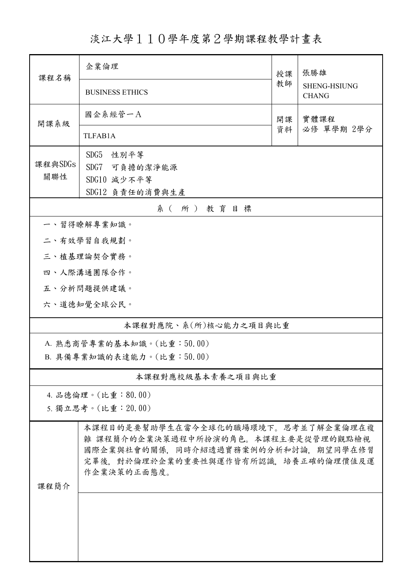淡江大學110學年度第2學期課程教學計畫表

| 課程名稱                      | 企業倫理                                                                                                              | 授課   | 張勝雄<br><b>SHENG-HSIUNG</b><br><b>CHANG</b> |  |  |
|---------------------------|-------------------------------------------------------------------------------------------------------------------|------|--------------------------------------------|--|--|
|                           | <b>BUSINESS ETHICS</b>                                                                                            | 教師   |                                            |  |  |
| 開課系級                      | 國企系經管一A                                                                                                           | 實體課程 |                                            |  |  |
|                           | TLFAB1A                                                                                                           | 資料   | 必修 單學期 2學分                                 |  |  |
|                           | SDG5<br>性別平等                                                                                                      |      |                                            |  |  |
| 課程與SDGs<br>關聯性            | SDG7 可負擔的潔淨能源                                                                                                     |      |                                            |  |  |
|                           | SDG10 減少不平等<br>SDG12 負責任的消費與生產                                                                                    |      |                                            |  |  |
| 系(所)教育目標                  |                                                                                                                   |      |                                            |  |  |
|                           | 一、習得瞭解專業知識。                                                                                                       |      |                                            |  |  |
|                           | 二、有效學習自我規劃。                                                                                                       |      |                                            |  |  |
|                           | 三、植基理論契合實務。                                                                                                       |      |                                            |  |  |
|                           | 四、人際溝通團隊合作。                                                                                                       |      |                                            |  |  |
|                           | 五、分析問題提供建議。                                                                                                       |      |                                            |  |  |
|                           | 六、道德知覺全球公民。                                                                                                       |      |                                            |  |  |
|                           | 本課程對應院、系(所)核心能力之項目與比重                                                                                             |      |                                            |  |  |
|                           | A. 熟悉商管專業的基本知識。(比重:50.00)                                                                                         |      |                                            |  |  |
| B. 具備專業知識的表達能力。(比重:50.00) |                                                                                                                   |      |                                            |  |  |
| 本課程對應校級基本素養之項目與比重         |                                                                                                                   |      |                                            |  |  |
|                           | 4. 品德倫理。(比重:80.00)                                                                                                |      |                                            |  |  |
|                           | 5. 獨立思考。(比重: 20.00)                                                                                               |      |                                            |  |  |
|                           | 本課程目的是要幫助學生在當今全球化的職場環境下。思考並了解企業倫理在複<br>雜 課程簡介的企業決策過程中所扮演的角色。本課程主要是從管理的觀點檢視<br>國際企業與社會的關係,同時介紹透過實務案例的分析和討論,期望同學在修習 |      |                                            |  |  |
| 课程简介                      | 完畢後,對於倫理於企業的重要性與運作皆有所認識,培養正確的倫理價值及運<br>作企業決策的正面態度。                                                                |      |                                            |  |  |
|                           |                                                                                                                   |      |                                            |  |  |
|                           |                                                                                                                   |      |                                            |  |  |
|                           |                                                                                                                   |      |                                            |  |  |
|                           |                                                                                                                   |      |                                            |  |  |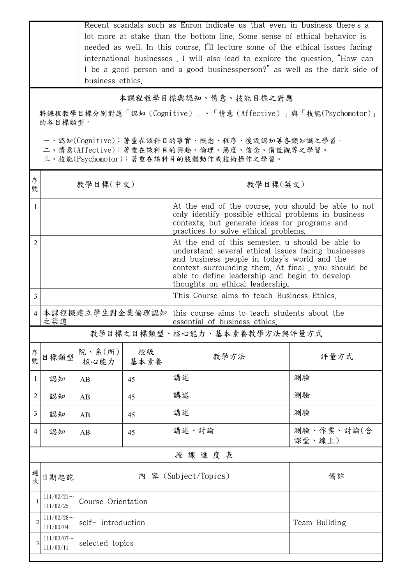| Recent scandals such as Enron indicate us that even in business there's a<br>lot more at stake than the bottom line. Some sense of ethical behavior is<br>needed as well. In this course, I'll lecture some of the ethical issues facing |                              |                                                                                                                                                                                 |            |                                                                                                                                                                                                                                                                                                   |                      |  |  |  |
|------------------------------------------------------------------------------------------------------------------------------------------------------------------------------------------------------------------------------------------|------------------------------|---------------------------------------------------------------------------------------------------------------------------------------------------------------------------------|------------|---------------------------------------------------------------------------------------------------------------------------------------------------------------------------------------------------------------------------------------------------------------------------------------------------|----------------------|--|--|--|
|                                                                                                                                                                                                                                          |                              | international businesses . I will also lead to explore the question, "How can<br>I be a good person and a good businessperson?" as well as the dark side of<br>business ethics. |            |                                                                                                                                                                                                                                                                                                   |                      |  |  |  |
|                                                                                                                                                                                                                                          |                              |                                                                                                                                                                                 |            | 本課程教學目標與認知、情意、技能目標之對應                                                                                                                                                                                                                                                                             |                      |  |  |  |
| 將課程教學目標分別對應「認知(Cognitive)」、「情意(Affective)」與「技能(Psychomotor)」<br>的各目標類型。                                                                                                                                                                  |                              |                                                                                                                                                                                 |            |                                                                                                                                                                                                                                                                                                   |                      |  |  |  |
| 一、認知(Cognitive):著重在該科目的事實、概念、程序、後設認知等各類知識之學習。<br>二、情意(Affective):著重在該科目的興趣、倫理、態度、信念、價值觀等之學習。<br>三、技能(Psychomotor):著重在該科目的肢體動作或技術操作之學習。                                                                                                   |                              |                                                                                                                                                                                 |            |                                                                                                                                                                                                                                                                                                   |                      |  |  |  |
| 序<br>號                                                                                                                                                                                                                                   | 教學目標(中文)                     |                                                                                                                                                                                 |            | 教學目標(英文)                                                                                                                                                                                                                                                                                          |                      |  |  |  |
| $\mathbf{1}$                                                                                                                                                                                                                             |                              |                                                                                                                                                                                 |            | At the end of the course, you should be able to not<br>only identify possible ethical problems in business<br>contexts, but generate ideas for programs and<br>practices to solve ethical problems.                                                                                               |                      |  |  |  |
| 2                                                                                                                                                                                                                                        |                              |                                                                                                                                                                                 |            | At the end of this semester, u should be able to<br>understand several ethical issues facing businesses<br>and business people in today's world and the<br>context surrounding them. At final, you should be<br>able to define leadership and begin to develop<br>thoughts on ethical leadership. |                      |  |  |  |
| $\overline{3}$                                                                                                                                                                                                                           |                              |                                                                                                                                                                                 |            | This Course aims to teach Business Ethics.                                                                                                                                                                                                                                                        |                      |  |  |  |
| $\overline{4}$                                                                                                                                                                                                                           | 本課程擬建立學生對企業倫理認知<br>之渠道       |                                                                                                                                                                                 |            | this course aims to teach students about the<br>essential of business ethics.                                                                                                                                                                                                                     |                      |  |  |  |
|                                                                                                                                                                                                                                          | 教學目標之目標類型、核心能力、基本素養教學方法與評量方式 |                                                                                                                                                                                 |            |                                                                                                                                                                                                                                                                                                   |                      |  |  |  |
| 序號                                                                                                                                                                                                                                       | 目標類型                         | 院、系(所)<br>核心能力                                                                                                                                                                  | 校級<br>基本素養 | 教學方法                                                                                                                                                                                                                                                                                              | 評量方式                 |  |  |  |
| $\mathbf{1}$                                                                                                                                                                                                                             | 認知                           | AB                                                                                                                                                                              | 45         | 講述                                                                                                                                                                                                                                                                                                | 測驗                   |  |  |  |
| $\overline{2}$                                                                                                                                                                                                                           | 認知                           | AB                                                                                                                                                                              | 45         | 講述                                                                                                                                                                                                                                                                                                | 測驗                   |  |  |  |
| $\mathfrak{Z}$                                                                                                                                                                                                                           | 認知                           | AB                                                                                                                                                                              | 45         | 講述                                                                                                                                                                                                                                                                                                | 測驗                   |  |  |  |
| $\overline{4}$                                                                                                                                                                                                                           | 認知                           | AB                                                                                                                                                                              | 45         | 講述、討論                                                                                                                                                                                                                                                                                             | 測驗、作業、討論(含<br>課堂、線上) |  |  |  |
|                                                                                                                                                                                                                                          |                              |                                                                                                                                                                                 |            | 授課進度表                                                                                                                                                                                                                                                                                             |                      |  |  |  |
| 週次                                                                                                                                                                                                                                       | 日期起訖                         |                                                                                                                                                                                 |            | 内 容 (Subject/Topics)                                                                                                                                                                                                                                                                              | 備註                   |  |  |  |
|                                                                                                                                                                                                                                          | $111/02/21$ ~<br>111/02/25   | Course Orientation                                                                                                                                                              |            |                                                                                                                                                                                                                                                                                                   |                      |  |  |  |
| $\overline{c}$                                                                                                                                                                                                                           | $111/02/28$ ~<br>111/03/04   | self- introduction                                                                                                                                                              |            |                                                                                                                                                                                                                                                                                                   | Team Building        |  |  |  |
| 3                                                                                                                                                                                                                                        | $111/03/07$ ~<br>111/03/11   | selected topics                                                                                                                                                                 |            |                                                                                                                                                                                                                                                                                                   |                      |  |  |  |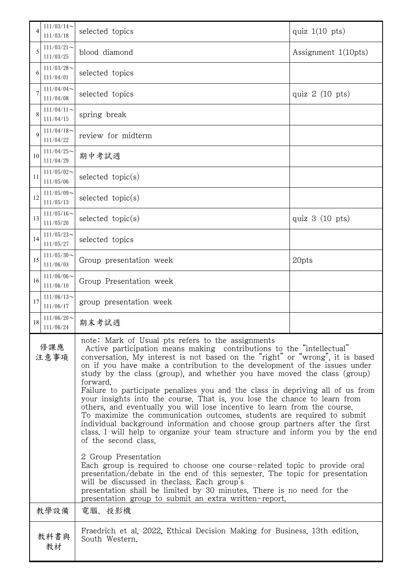| 4                            | $111/03/14$ ~<br>111/03/18 | selected topics                                                                                                                                                                                                                                                                                                                                                                                                                                                                                                                                                                                                                                                                                                                                                                                                                                                                               | quiz $1(10 \text{ pts})$ |  |
|------------------------------|----------------------------|-----------------------------------------------------------------------------------------------------------------------------------------------------------------------------------------------------------------------------------------------------------------------------------------------------------------------------------------------------------------------------------------------------------------------------------------------------------------------------------------------------------------------------------------------------------------------------------------------------------------------------------------------------------------------------------------------------------------------------------------------------------------------------------------------------------------------------------------------------------------------------------------------|--------------------------|--|
| 5                            | $111/03/21$ ~<br>111/03/25 | blood diamond                                                                                                                                                                                                                                                                                                                                                                                                                                                                                                                                                                                                                                                                                                                                                                                                                                                                                 | Assignment $1(10pts)$    |  |
| 6                            | $111/03/28$ ~<br>111/04/01 | selected topics                                                                                                                                                                                                                                                                                                                                                                                                                                                                                                                                                                                                                                                                                                                                                                                                                                                                               |                          |  |
|                              | $111/04/04$ ~<br>111/04/08 | selected topics                                                                                                                                                                                                                                                                                                                                                                                                                                                                                                                                                                                                                                                                                                                                                                                                                                                                               | quiz $2(10)$ pts)        |  |
| 8                            | $111/04/11$ ~<br>111/04/15 | spring break                                                                                                                                                                                                                                                                                                                                                                                                                                                                                                                                                                                                                                                                                                                                                                                                                                                                                  |                          |  |
| $\mathbf Q$                  | $111/04/18$ ~<br>111/04/22 | review for midterm                                                                                                                                                                                                                                                                                                                                                                                                                                                                                                                                                                                                                                                                                                                                                                                                                                                                            |                          |  |
| 10                           | $111/04/25$ ~<br>111/04/29 | 期中考試週                                                                                                                                                                                                                                                                                                                                                                                                                                                                                                                                                                                                                                                                                                                                                                                                                                                                                         |                          |  |
| 11                           | $111/05/02$ ~<br>111/05/06 | selected $topic(s)$                                                                                                                                                                                                                                                                                                                                                                                                                                                                                                                                                                                                                                                                                                                                                                                                                                                                           |                          |  |
| 12                           | $111/05/09$ ~<br>111/05/13 | selected $topic(s)$                                                                                                                                                                                                                                                                                                                                                                                                                                                                                                                                                                                                                                                                                                                                                                                                                                                                           |                          |  |
| 13                           | $111/05/16$ ~<br>111/05/20 | quiz $3(10)$ pts)<br>selected $topic(s)$                                                                                                                                                                                                                                                                                                                                                                                                                                                                                                                                                                                                                                                                                                                                                                                                                                                      |                          |  |
| 14                           | $111/05/23$ ~<br>111/05/27 | selected topics                                                                                                                                                                                                                                                                                                                                                                                                                                                                                                                                                                                                                                                                                                                                                                                                                                                                               |                          |  |
| 15                           | $111/05/30$ ~<br>111/06/03 | 20pts<br>Group presentation week                                                                                                                                                                                                                                                                                                                                                                                                                                                                                                                                                                                                                                                                                                                                                                                                                                                              |                          |  |
| 16                           | $111/06/06$ ~<br>111/06/10 | Group Presentation week                                                                                                                                                                                                                                                                                                                                                                                                                                                                                                                                                                                                                                                                                                                                                                                                                                                                       |                          |  |
| 17                           | $111/06/13$ ~<br>111/06/17 | group presentation week                                                                                                                                                                                                                                                                                                                                                                                                                                                                                                                                                                                                                                                                                                                                                                                                                                                                       |                          |  |
| 18                           | $111/06/20$ ~<br>111/06/24 | 期末考試週                                                                                                                                                                                                                                                                                                                                                                                                                                                                                                                                                                                                                                                                                                                                                                                                                                                                                         |                          |  |
| 修課應<br>注意事項                  |                            | note: Mark of Usual pts refers to the assignments<br>Active participation means making contributions to the "intellectual"<br>conversation. My interest is not based on the "right" or "wrong", it is based<br>on if you have make a contribution to the development of the issues under<br>study by the class (group), and whether you have moved the class (group)<br>forward.<br>Failure to participate penalizes you and the class in depriving all of us from<br>your insights into the course. That is, you lose the chance to learn from<br>others, and eventually you will lose incentive to learn from the course.<br>To maximize the communication outcomes, students are required to submit<br>individual background information and choose group partners after the first<br>class. I will help to organize your team structure and inform you by the end<br>of the second class. |                          |  |
|                              |                            | 2 Group Presentation<br>Each group is required to choose one course-related topic to provide oral<br>presentation/debate in the end of this semester. The topic for presentation<br>will be discussed in the class. Each group's<br>presentation shall be limited by 30 minutes. There is no need for the<br>presentation group to submit an extra written-report.                                                                                                                                                                                                                                                                                                                                                                                                                                                                                                                            |                          |  |
|                              | 教學設備                       | 電腦、投影機                                                                                                                                                                                                                                                                                                                                                                                                                                                                                                                                                                                                                                                                                                                                                                                                                                                                                        |                          |  |
| 教科書與<br>South Western.<br>教材 |                            | Fraedrich et al. 2022, Ethical Decision Making for Business, 13th edition,                                                                                                                                                                                                                                                                                                                                                                                                                                                                                                                                                                                                                                                                                                                                                                                                                    |                          |  |